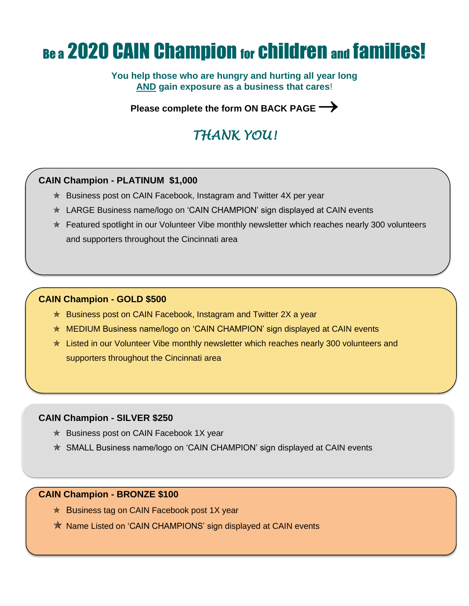# Be a 2020 CAIN Champion for children and families!

**You help those who are hungry and hurting all year long AND gain exposure as a business that cares**!

**Please complete the form ON BACK PAGE**→

## *THANK YOU!*

### **CAIN Champion - PLATINUM \$1,000**

- $\star$  Business post on CAIN Facebook, Instagram and Twitter 4X per year
- LARGE Business name/logo on 'CAIN CHAMPION' sign displayed at CAIN events
- $*$  Featured spotlight in our Volunteer Vibe monthly newsletter which reaches nearly 300 volunteers and supporters throughout the Cincinnati area

#### **CAIN Champion - GOLD \$500**

- $\star$  Business post on CAIN Facebook, Instagram and Twitter 2X a year
- ★ MEDIUM Business name/logo on 'CAIN CHAMPION' sign displayed at CAIN events
- **★ Listed in our Volunteer Vibe monthly newsletter which reaches nearly 300 volunteers and** supporters throughout the Cincinnati area

#### **CAIN Champion - SILVER \$250**

- $*$  Business post on CAIN Facebook 1X year
- SMALL Business name/logo on 'CAIN CHAMPION' sign displayed at CAIN events

#### **CAIN Champion - BRONZE \$100**

- $\star$  Business tag on CAIN Facebook post 1X year
- **★ Name Listed on 'CAIN CHAMPIONS' sign displayed at CAIN events**